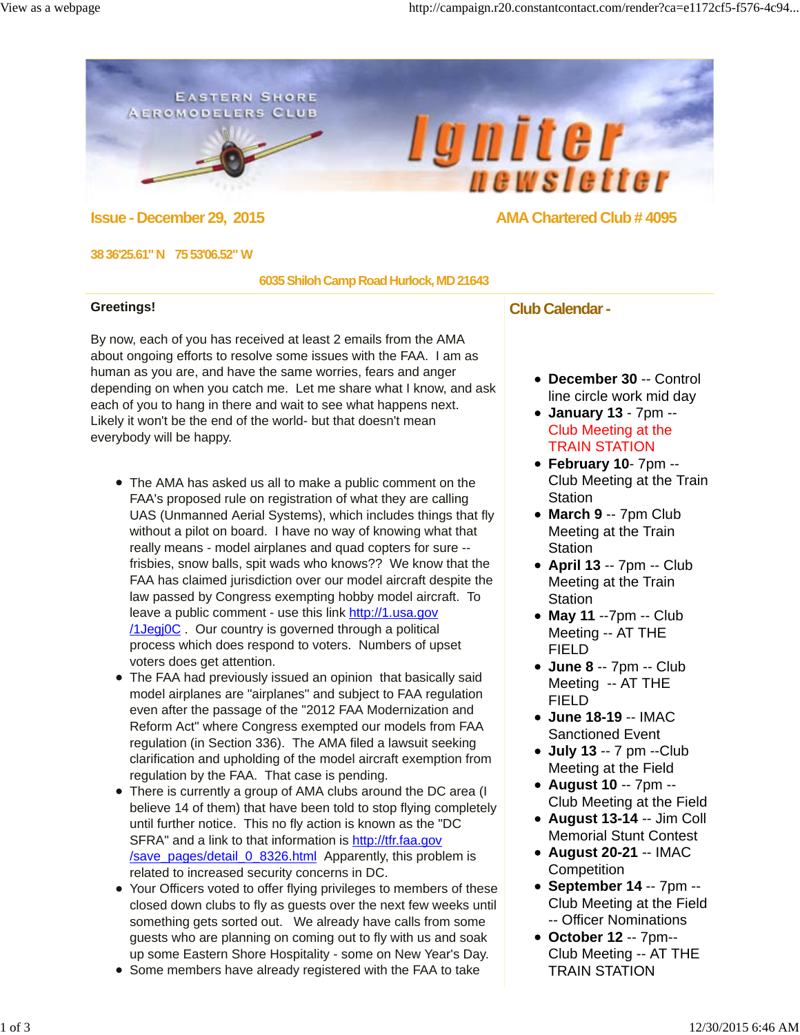## **EASTERN SHORE AEROMODELERS CLUB**

 $\bullet$ 



# **Issue - December 29, 2015 AMA Chartered Club # 4095**

#### **38 36'25.61" N 75 53'06.52"** W

#### **6035 Shiloh Camp Road Hurlock, MD 21643**

### **Greetings!**

By now, each of you has received at least 2 emails from the AMA about ongoing efforts to resolve some issues with the FAA. I am as human as you are, and have the same worries, fears and anger depending on when you catch me. Let me share what I know, and ask each of you to hang in there and wait to see what happens next. Likely it won't be the end of the world- but that doesn't mean everybody will be happy.

- The AMA has asked us all to make a public comment on the FAA's proposed rule on registration of what they are calling UAS (Unmanned Aerial Systems), which includes things that fly without a pilot on board. I have no way of knowing what that really means - model airplanes and quad copters for sure - frisbies, snow balls, spit wads who knows?? We know that the FAA has claimed jurisdiction over our model aircraft despite the law passed by Congress exempting hobby model aircraft. To leave a public comment - use this link http://1.usa.gov /1Jegj0C . Our country is governed through a political process which does respond to voters. Numbers of upset voters does get attention.
- The FAA had previously issued an opinion that basically said model airplanes are "airplanes" and subject to FAA regulation even after the passage of the "2012 FAA Modernization and Reform Act" where Congress exempted our models from FAA regulation (in Section 336). The AMA filed a lawsuit seeking clarification and upholding of the model aircraft exemption from regulation by the FAA. That case is pending.
- There is currently a group of AMA clubs around the DC area (I believe 14 of them) that have been told to stop flying completely until further notice. This no fly action is known as the "DC SFRA" and a link to that information is http://tfr.faa.gov /save\_pages/detail\_0\_8326.html Apparently, this problem is related to increased security concerns in DC.
- Your Officers voted to offer flying privileges to members of these closed down clubs to fly as guests over the next few weeks until something gets sorted out. We already have calls from some guests who are planning on coming out to fly with us and soak up some Eastern Shore Hospitality - some on New Year's Day.
- Some members have already registered with the FAA to take

## **Club Calendar -**

- **December 30** -- Control line circle work mid day
- **January 13**  7pm -- Club Meeting at the TRAIN STATION
- **February 10** 7pm -- Club Meeting at the Train **Station**
- **March 9** -- 7pm Club Meeting at the Train **Station**
- **April 13** -- 7pm -- Club Meeting at the Train **Station**
- **May 11** --7pm -- Club Meeting -- AT THE FIELD
- **June 8** -- 7pm -- Club Meeting -- AT THE FIELD
- **June 18-19** -- IMAC Sanctioned Event
- **July 13** -- 7 pm --Club Meeting at the Field
- **August 10** -- 7pm -- Club Meeting at the Field
- **August 13-14** -- Jim Coll Memorial Stunt Contest
- **August 20-21** -- IMAC **Competition**
- **September 14** -- 7pm -- Club Meeting at the Field -- Officer Nominations
- **October 12** -- 7pm-- Club Meeting -- AT THE TRAIN STATION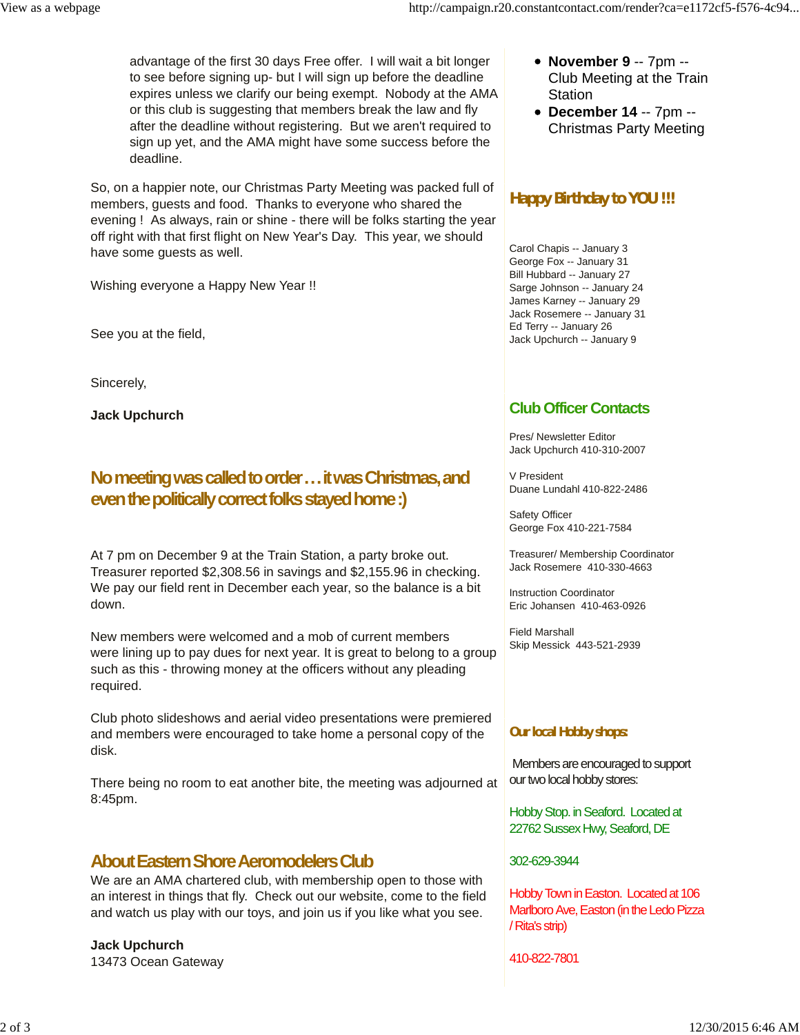advantage of the first 30 days Free offer. I will wait a bit longer to see before signing up- but I will sign up before the deadline expires unless we clarify our being exempt. Nobody at the AMA or this club is suggesting that members break the law and fly after the deadline without registering. But we aren't required to sign up yet, and the AMA might have some success before the deadline.

So, on a happier note, our Christmas Party Meeting was packed full of members, guests and food. Thanks to everyone who shared the evening ! As always, rain or shine - there will be folks starting the year off right with that first flight on New Year's Day. This year, we should have some quests as well.

Wishing everyone a Happy New Year !!

See you at the field,

Sincerely,

**Jack Upchurch**

# **No meeting was called to order . . . it was Christmas, and even the politically correct folks stayed home :)**

At 7 pm on December 9 at the Train Station, a party broke out. Treasurer reported \$2,308.56 in savings and \$2,155.96 in checking. We pay our field rent in December each year, so the balance is a bit down.

New members were welcomed and a mob of current members were lining up to pay dues for next year. It is great to belong to a group such as this - throwing money at the officers without any pleading required.

Club photo slideshows and aerial video presentations were premiered and members were encouraged to take home a personal copy of the disk.

There being no room to eat another bite, the meeting was adjourned at 8:45pm.

# **About Eastern Shore Aeromodelers Club**

We are an AMA chartered club, with membership open to those with an interest in things that fly. Check out our website, come to the field and watch us play with our toys, and join us if you like what you see.

**Jack Upchurch** 13473 Ocean Gateway

- **November 9** -- 7pm -- Club Meeting at the Train **Station**
- **December 14** -- 7pm -- Christmas Party Meeting

# **Happy Birthday to YOU !!!**

Carol Chapis -- January 3 George Fox -- January 31 Bill Hubbard -- January 27 Sarge Johnson -- January 24 James Karney -- January 29 Jack Rosemere -- January 31 Ed Terry -- January 26 Jack Upchurch -- January 9

# **Club Officer Contacts**

Pres/ Newsletter Editor Jack Upchurch 410-310-2007

V President Duane Lundahl 410-822-2486

Safety Officer George Fox 410-221-7584

Treasurer/ Membership Coordinator Jack Rosemere 410-330-4663

Instruction Coordinator Eric Johansen 410-463-0926

Field Marshall Skip Messick 443-521-2939

## **Our local Hobby shops:**

Members are encouraged to support our two local hobby stores:

Hobby Stop. in Seaford. Located at 22762 Sussex Hwy, Seaford, DE

302-629-3944

Hobby Town in Easton. Located at 106 Marlboro Ave, Easton (in the Ledo Pizza / Rita's strip)

410-822-7801